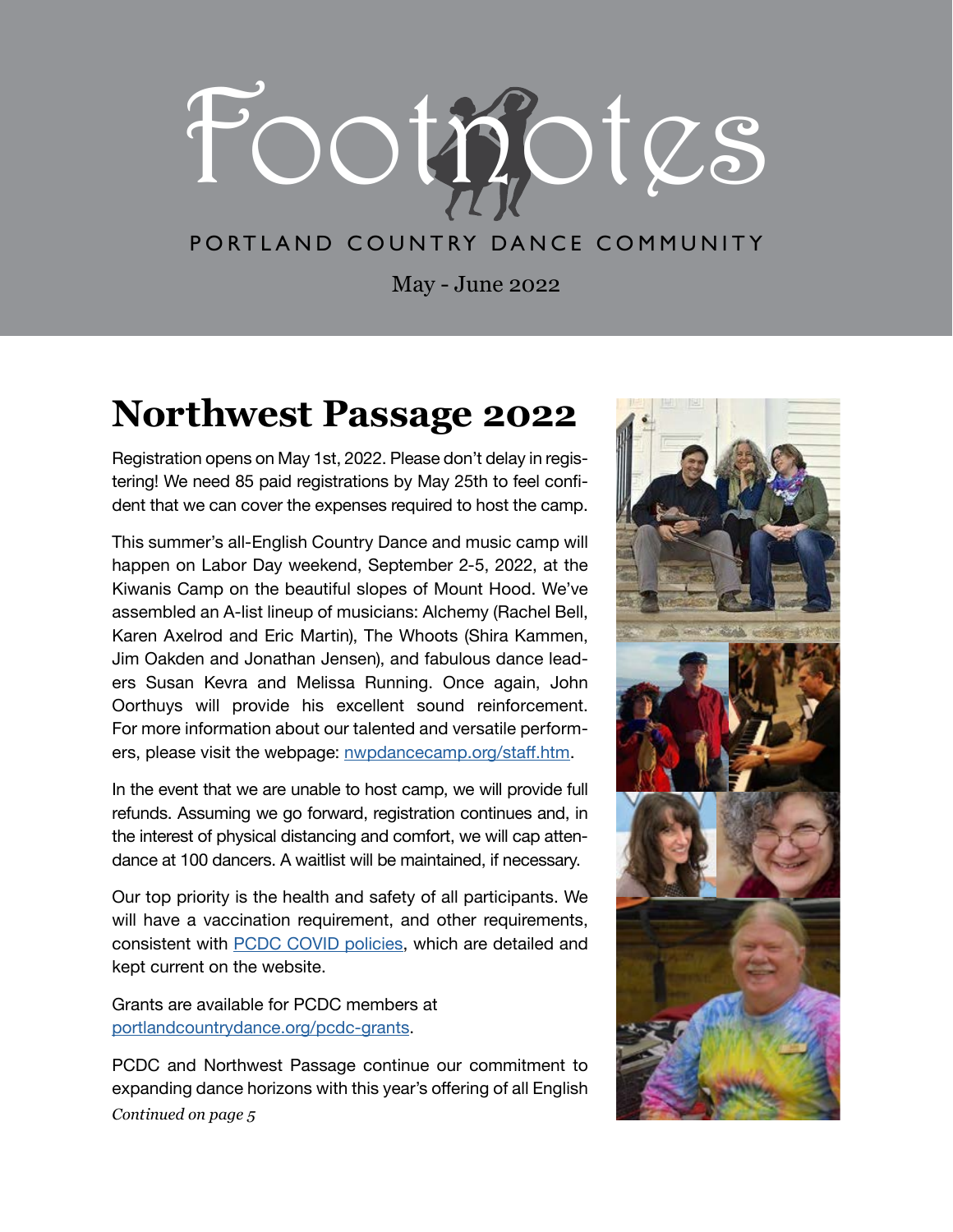

# PORTLAND COUNTRY DANCE COMMUNITY

May - June 2022

# **Northwest Passage 2022**

Registration opens on May 1st, 2022. Please don't delay in registering! We need 85 paid registrations by May 25th to feel confident that we can cover the expenses required to host the camp.

This summer's all-English Country Dance and music camp will happen on Labor Day weekend, September 2-5, 2022, at the Kiwanis Camp on the beautiful slopes of Mount Hood. We've assembled an A-list lineup of musicians: Alchemy (Rachel Bell, Karen Axelrod and Eric Martin), The Whoots (Shira Kammen, Jim Oakden and Jonathan Jensen), and fabulous dance leaders Susan Kevra and Melissa Running. Once again, John Oorthuys will provide his excellent sound reinforcement. For more information about our talented and versatile performers, please visit the webpage: [nwpdancecamp.org/staff.htm](https://nwpdancecamp.org/staff.htm).

In the event that we are unable to host camp, we will provide full refunds. Assuming we go forward, registration continues and, in the interest of physical distancing and comfort, we will cap attendance at 100 dancers. A waitlist will be maintained, if necessary.

Our top priority is the health and safety of all participants. We will have a vaccination requirement, and other requirements, consistent with [PCDC COVID policies](https://portlandcountrydance.org/covid19), which are detailed and kept current on the website.

Grants are available for PCDC members at [portlandcountrydance.org/pcdc-grants](https://portlandcountrydance.org/pcdc-grants).

PCDC and Northwest Passage continue our commitment to expanding dance horizons with this year's offering of all English *Continued on page 5*

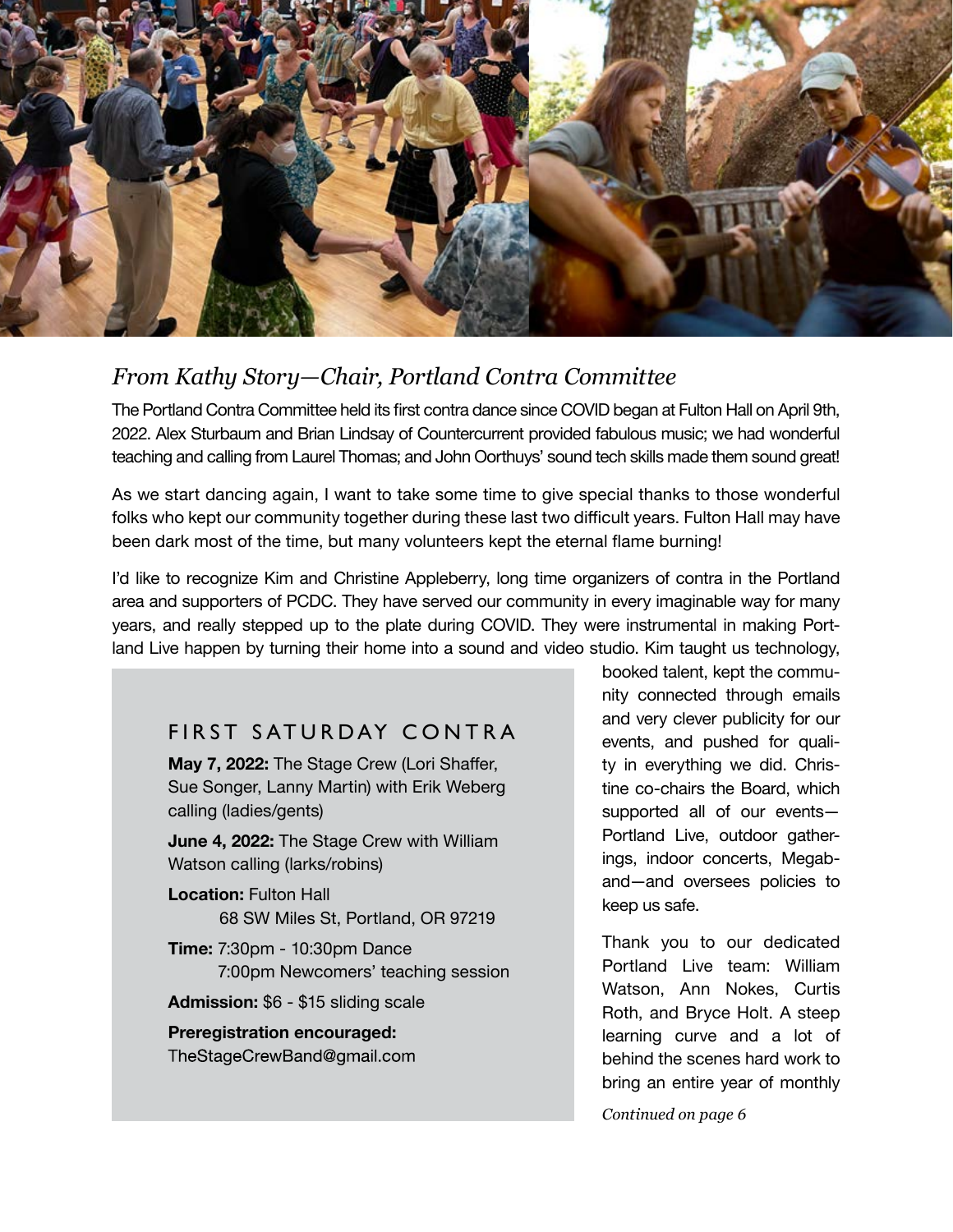

# *From Kathy Story—Chair, Portland Contra Committee*

The Portland Contra Committee held its first contra dance since COVID began at Fulton Hall on April 9th, 2022. Alex Sturbaum and Brian Lindsay of Countercurrent provided fabulous music; we had wonderful teaching and calling from Laurel Thomas; and John Oorthuys' sound tech skills made them sound great!

As we start dancing again, I want to take some time to give special thanks to those wonderful folks who kept our community together during these last two difficult years. Fulton Hall may have been dark most of the time, but many volunteers kept the eternal flame burning!

I'd like to recognize Kim and Christine Appleberry, long time organizers of contra in the Portland area and supporters of PCDC. They have served our community in every imaginable way for many years, and really stepped up to the plate during COVID. They were instrumental in making Portland Live happen by turning their home into a sound and video studio. Kim taught us technology,

## FIRST SATURDAY CONTRA

**May 7, 2022:** The Stage Crew (Lori Shaffer, Sue Songer, Lanny Martin) with Erik Weberg calling (ladies/gents)

**June 4, 2022:** The Stage Crew with William Watson calling (larks/robins)

**Location:** Fulton Hall 68 SW Miles St, Portland, OR 97219

**Time:** 7:30pm - 10:30pm Dance 7:00pm Newcomers' teaching session

**Admission:** \$6 - \$15 sliding scale

**Preregistration encouraged:** TheStageCrewBand@gmail.com

booked talent, kept the community connected through emails and very clever publicity for our events, and pushed for quality in everything we did. Christine co-chairs the Board, which supported all of our events— Portland Live, outdoor gatherings, indoor concerts, Megaband—and oversees policies to keep us safe.

Thank you to our dedicated Portland Live team: William Watson, Ann Nokes, Curtis Roth, and Bryce Holt. A steep learning curve and a lot of behind the scenes hard work to bring an entire year of monthly

*Continued on page 6*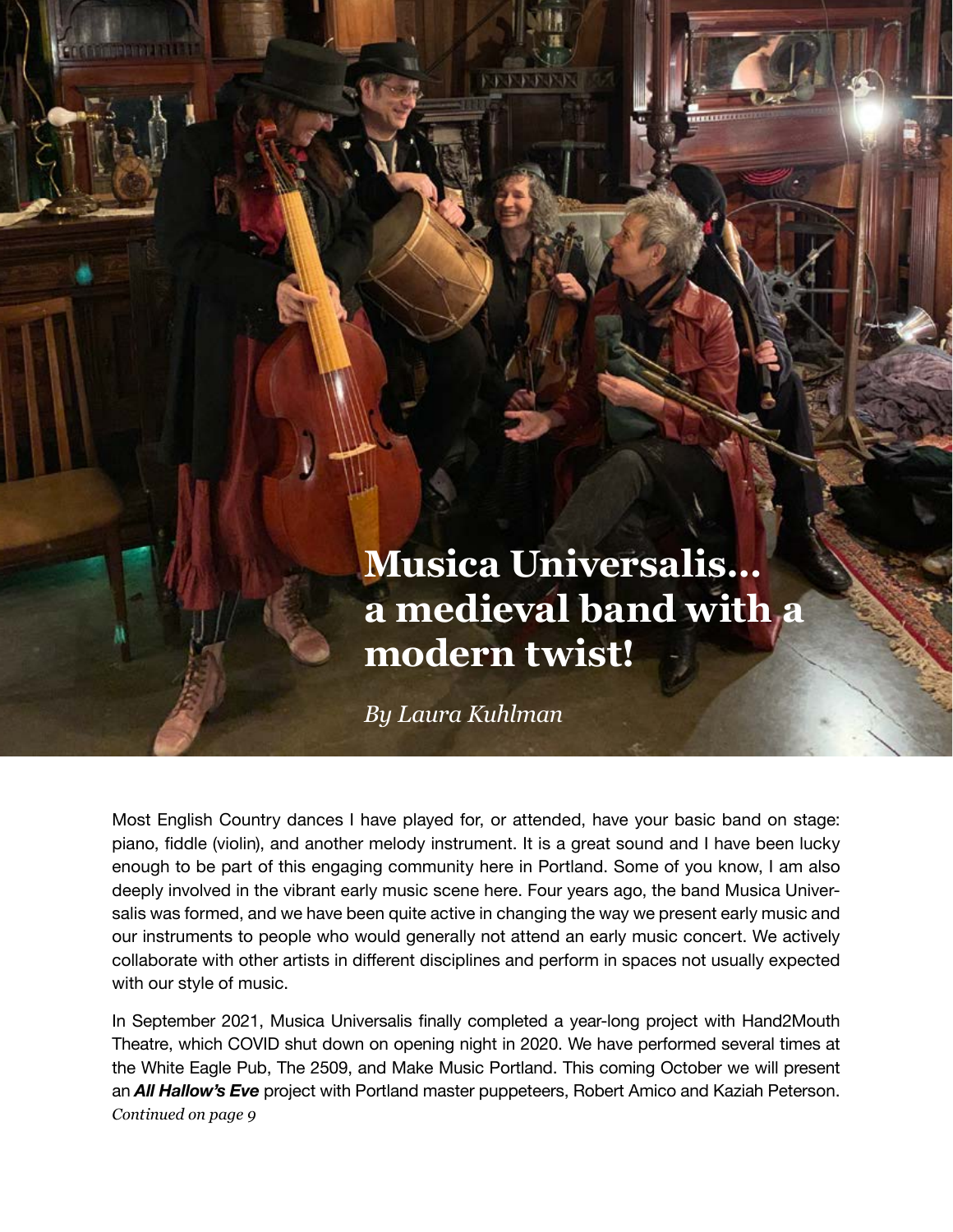# **Musica Universalis… a medieval band with a modern twist!**

11111111

*By Laura Kuhlman* 

Most English Country dances I have played for, or attended, have your basic band on stage: piano, fiddle (violin), and another melody instrument. It is a great sound and I have been lucky enough to be part of this engaging community here in Portland. Some of you know, I am also deeply involved in the vibrant early music scene here. Four years ago, the band Musica Universalis was formed, and we have been quite active in changing the way we present early music and our instruments to people who would generally not attend an early music concert. We actively collaborate with other artists in different disciplines and perform in spaces not usually expected with our style of music.

In September 2021, Musica Universalis finally completed a year-long project with Hand2Mouth Theatre, which COVID shut down on opening night in 2020. We have performed several times at the White Eagle Pub, The 2509, and Make Music Portland. This coming October we will present an *All Hallow's Eve* project with Portland master puppeteers, Robert Amico and Kaziah Peterson. *Continued on page 9*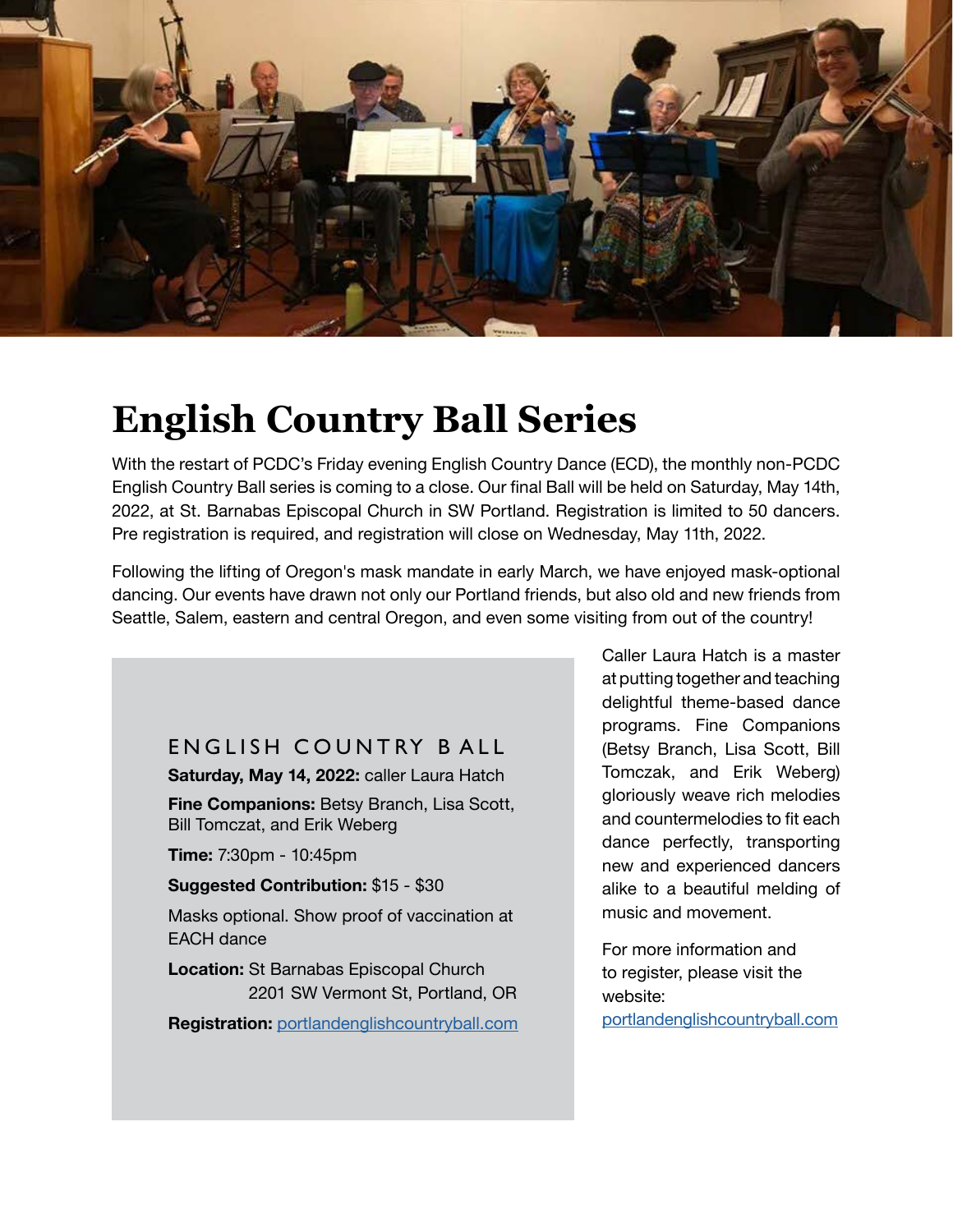

# **English Country Ball Series**

With the restart of PCDC's Friday evening English Country Dance (ECD), the monthly non-PCDC English Country Ball series is coming to a close. Our final Ball will be held on Saturday, May 14th, 2022, at St. Barnabas Episcopal Church in SW Portland. Registration is limited to 50 dancers. Pre registration is required, and registration will close on Wednesday, May 11th, 2022.

Following the lifting of Oregon's mask mandate in early March, we have enjoyed mask-optional dancing. Our events have drawn not only our Portland friends, but also old and new friends from Seattle, Salem, eastern and central Oregon, and even some visiting from out of the country!

## ENGLISH COUNTRY BALL

**Saturday, May 14, 2022:** caller Laura Hatch

**Fine Companions:** Betsy Branch, Lisa Scott, Bill Tomczat, and Erik Weberg

**Time:** 7:30pm - 10:45pm

**Suggested Contribution:** \$15 - \$30

Masks optional. Show proof of vaccination at EACH dance

**Location:** St Barnabas Episcopal Church 2201 SW Vermont St, Portland, OR

**Registration:** [portlandenglishcountryball.com](https://portlandenglishcountryball.com)

Caller Laura Hatch is a master at putting together and teaching delightful theme-based dance programs. Fine Companions (Betsy Branch, Lisa Scott, Bill Tomczak, and Erik Weberg) gloriously weave rich melodies and countermelodies to fit each dance perfectly, transporting new and experienced dancers alike to a beautiful melding of music and movement.

For more information and to register, please visit the website: [portlandenglishcountryball.com](https://portlandenglishcountryball.com)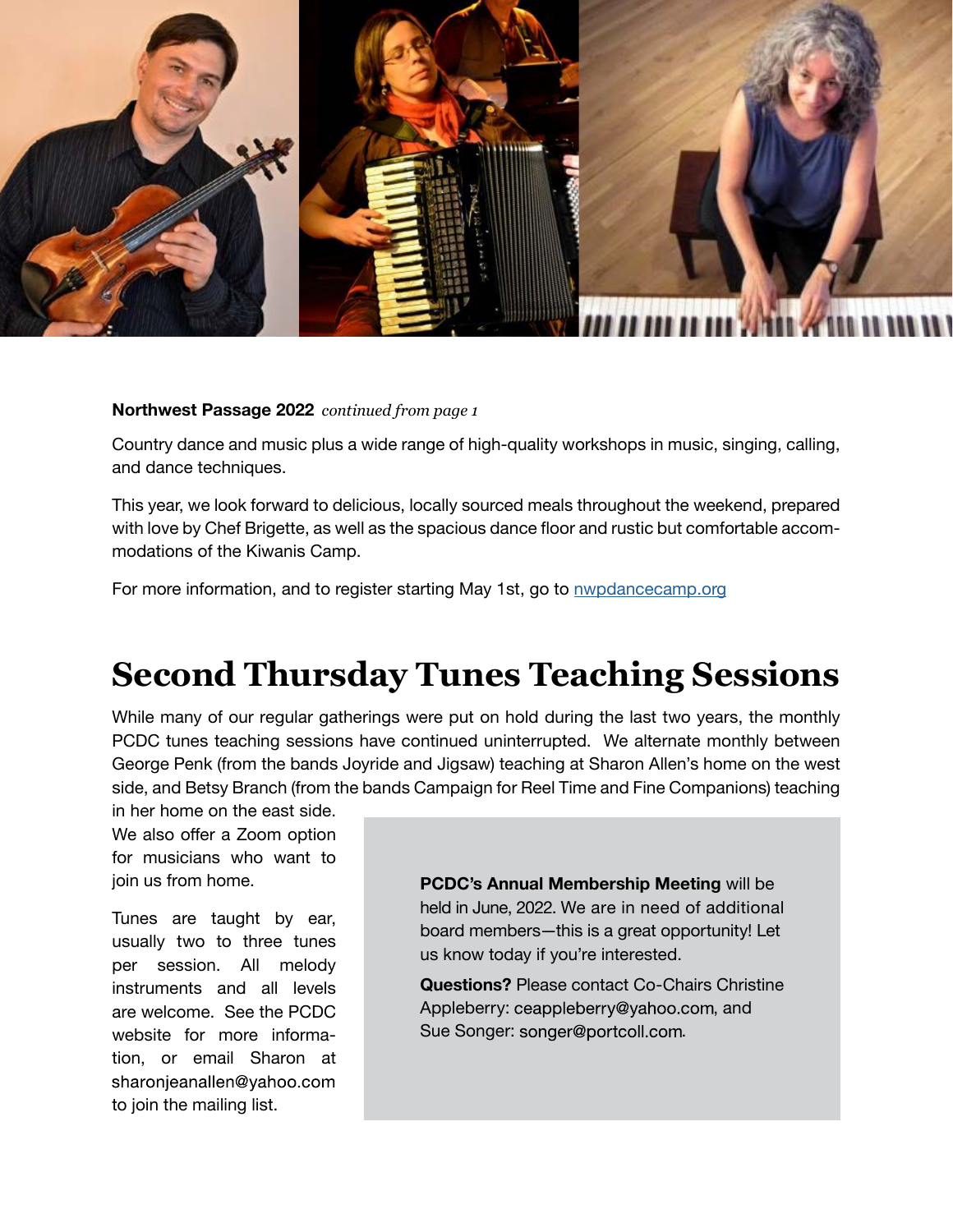

#### **Northwest Passage 2022** *continued from page 1*

Country dance and music plus a wide range of high-quality workshops in music, singing, calling, and dance techniques.

This year, we look forward to delicious, locally sourced meals throughout the weekend, prepared with love by Chef Brigette, as well as the spacious dance floor and rustic but comfortable accommodations of the Kiwanis Camp.

For more information, and to register starting May 1st, go to [nwpdancecamp.org](https://nwpdancecamp.org)

# **Second Thursday Tunes Teaching Sessions**

While many of our regular gatherings were put on hold during the last two years, the monthly PCDC tunes teaching sessions have continued uninterrupted. We alternate monthly between George Penk (from the bands Joyride and Jigsaw) teaching at Sharon Allen's home on the west side, and Betsy Branch (from the bands Campaign for Reel Time and Fine Companions) teaching

in her home on the east side. We also offer a Zoom option for musicians who want to join us from home.

Tunes are taught by ear, usually two to three tunes per session. All melody instruments and all levels are welcome. See the PCDC website for more information, or email Sharon at sharonjeanallen@yahoo.com to join the mailing list.

**PCDC's Annual Membership Meeting** will be held in June, 2022. We are in need of additional board members—this is a great opportunity! Let us know today if you're interested.

**Questions?** Please contact Co-Chairs Christine Appleberry: ceappleberry@yahoo.com, and Sue Songer: songer@portcoll.com.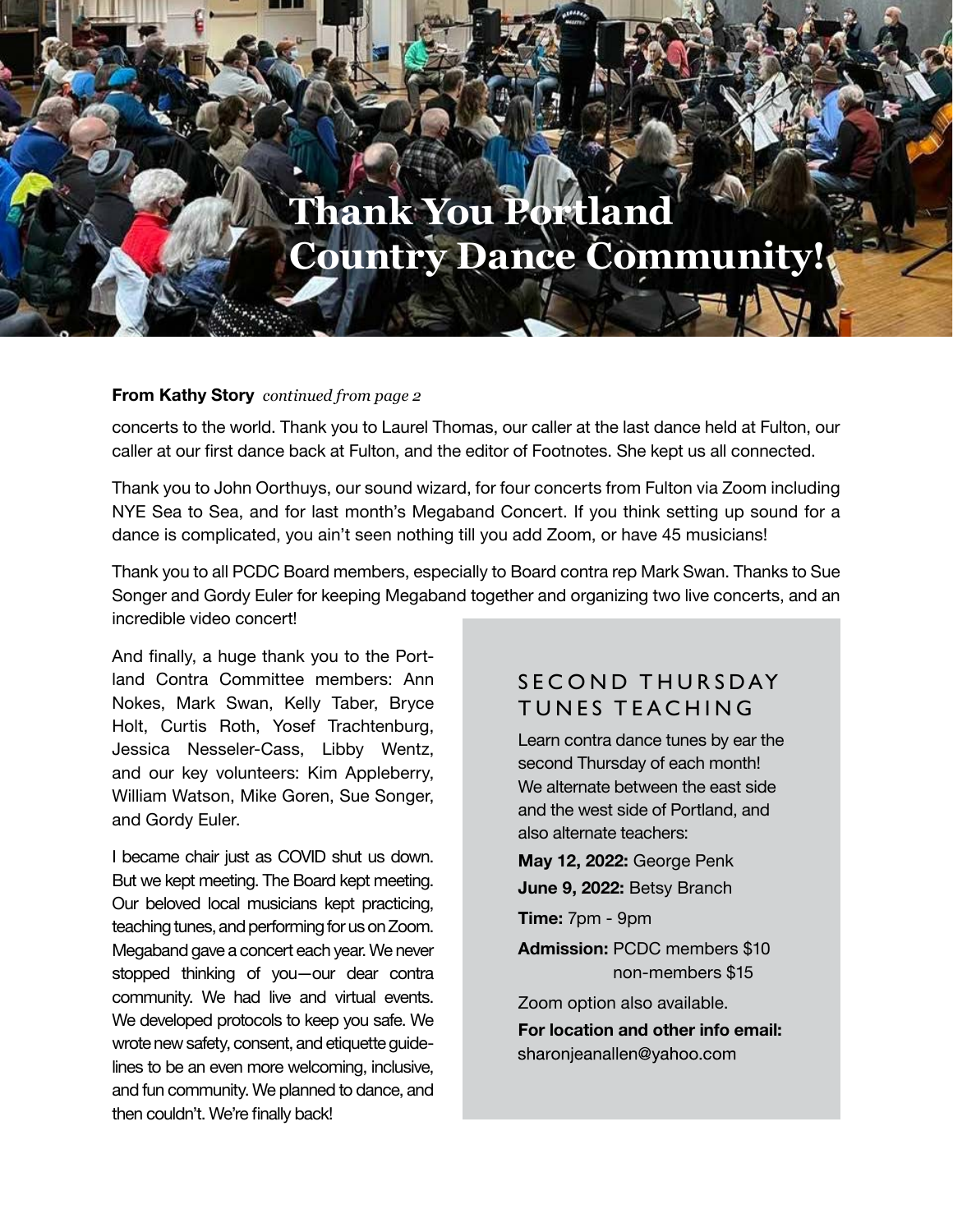# **Thank You Portland Country Dance Community!**

#### **From Kathy Story** *continued from page 2*

concerts to the world. Thank you to Laurel Thomas, our caller at the last dance held at Fulton, our caller at our first dance back at Fulton, and the editor of Footnotes. She kept us all connected.

Thank you to John Oorthuys, our sound wizard, for four concerts from Fulton via Zoom including NYE Sea to Sea, and for last month's Megaband Concert. If you think setting up sound for a dance is complicated, you ain't seen nothing till you add Zoom, or have 45 musicians!

Thank you to all PCDC Board members, especially to Board contra rep Mark Swan. Thanks to Sue Songer and Gordy Euler for keeping Megaband together and organizing two live concerts, and an incredible video concert!

And finally, a huge thank you to the Portland Contra Committee members: Ann Nokes, Mark Swan, Kelly Taber, Bryce Holt, Curtis Roth, Yosef Trachtenburg, Jessica Nesseler-Cass, Libby Wentz, and our key volunteers: Kim Appleberry, William Watson, Mike Goren, Sue Songer, and Gordy Euler.

I became chair just as COVID shut us down. But we kept meeting. The Board kept meeting. Our beloved local musicians kept practicing, teaching tunes, and performing for us on Zoom. Megaband gave a concert each year. We never stopped thinking of you—our dear contra community. We had live and virtual events. We developed protocols to keep you safe. We wrote new safety, consent, and etiquette guidelines to be an even more welcoming, inclusive, and fun community. We planned to dance, and then couldn't. We're finally back!

### SECOND THURSDAY TUNES TEACHING

Learn contra dance tunes by ear the second Thursday of each month! We alternate between the east side and the west side of Portland, and also alternate teachers:

**May 12, 2022:** George Penk **June 9, 2022:** Betsy Branch

**Time:** 7pm - 9pm

**Admission:** PCDC members \$10 non-members \$15

Zoom option also available. **For location and other info email:**  sharonjeanallen@yahoo.com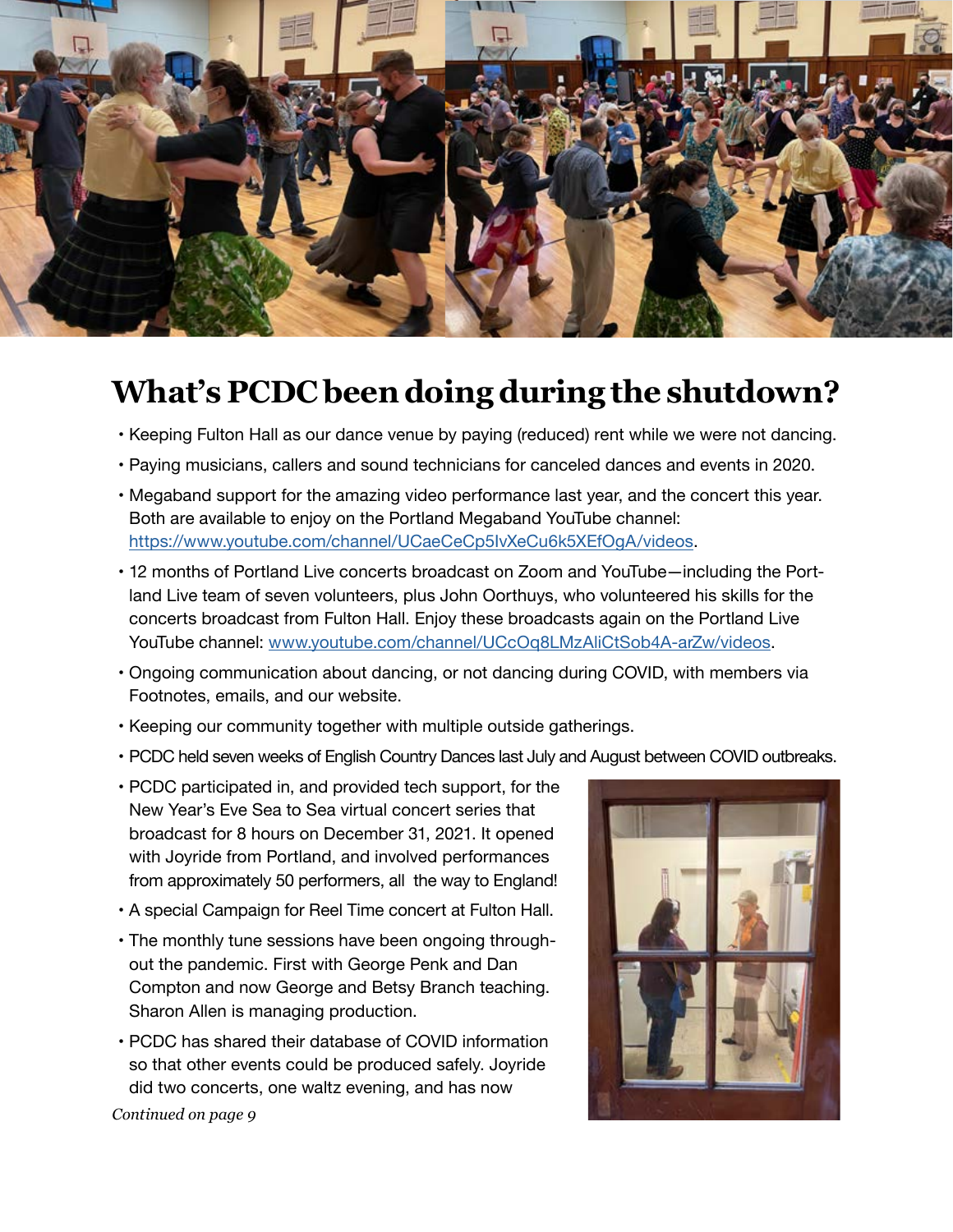

# **What's PCDC been doing during the shutdown?**

- Keeping Fulton Hall as our dance venue by paying (reduced) rent while we were not dancing.
- Paying musicians, callers and sound technicians for canceled dances and events in 2020.
- Megaband support for the amazing video performance last year, and the concert this year. Both are available to enjoy on the Portland Megaband YouTube channel: https://www.youtube.com/channel/UCaeCeCp5IvXeCu6k5XEfOgA/videos.
- 12 months of Portland Live concerts broadcast on Zoom and YouTube—including the Portland Live team of seven volunteers, plus John Oorthuys, who volunteered his skills for the concerts broadcast from Fulton Hall. Enjoy these broadcasts again on the Portland Live YouTube channel: www.youtube.com/channel/UCcOq8LMzAliCtSob4A-arZw/videos.
- Ongoing communication about dancing, or not dancing during COVID, with members via Footnotes, emails, and our website.
- Keeping our community together with multiple outside gatherings.
- PCDC held seven weeks of English Country Dances last July and August between COVID outbreaks.
- PCDC participated in, and provided tech support, for the New Year's Eve Sea to Sea virtual concert series that broadcast for 8 hours on December 31, 2021. It opened with Joyride from Portland, and involved performances from approximately 50 performers, all the way to England!
- A special Campaign for Reel Time concert at Fulton Hall.
- The monthly tune sessions have been ongoing throughout the pandemic. First with George Penk and Dan Compton and now George and Betsy Branch teaching. Sharon Allen is managing production.
- PCDC has shared their database of COVID information so that other events could be produced safely. Joyride did two concerts, one waltz evening, and has now



*Continued on page 9*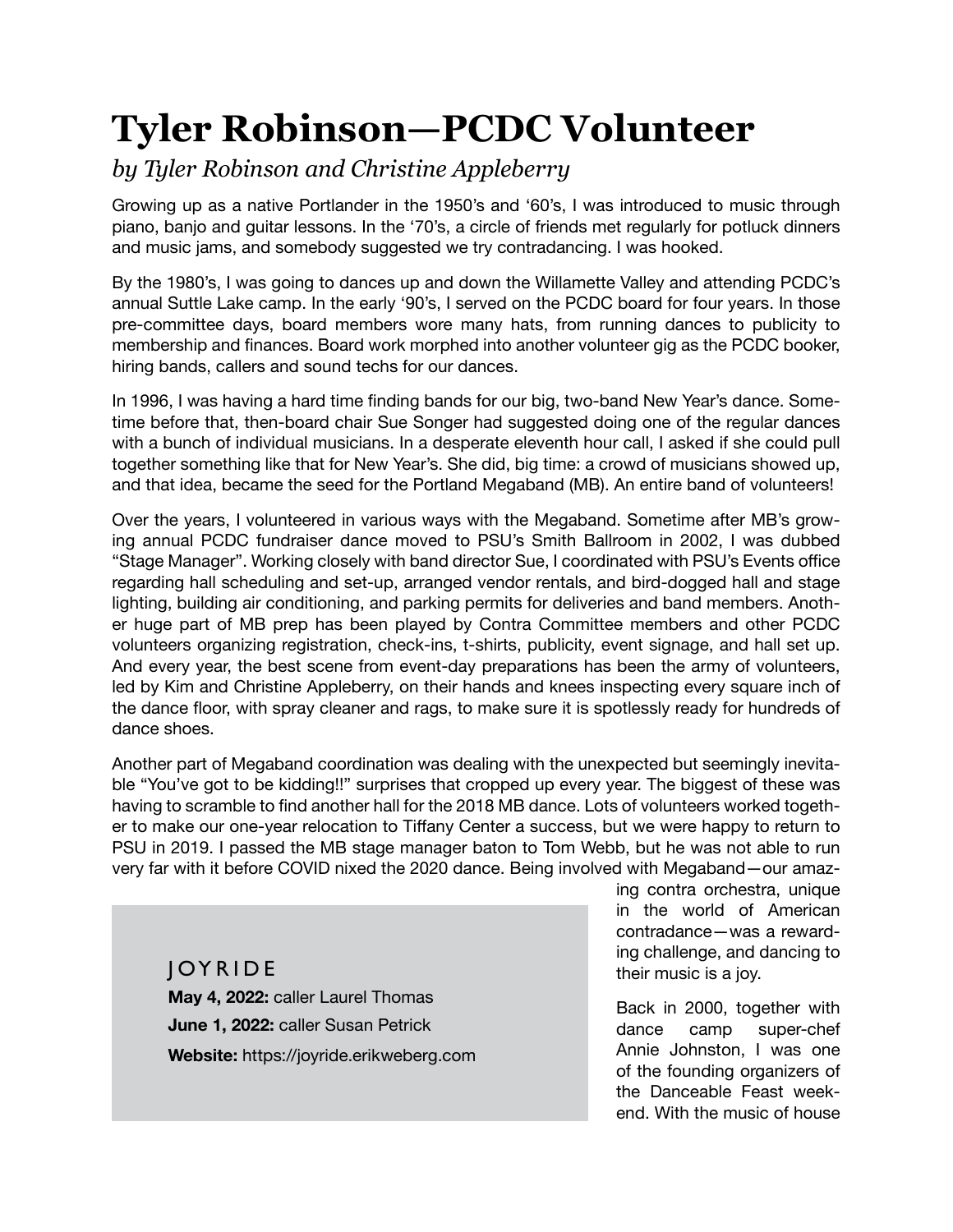# **Tyler Robinson—PCDC Volunteer**

# *by Tyler Robinson and Christine Appleberry*

Growing up as a native Portlander in the 1950's and '60's, I was introduced to music through piano, banjo and guitar lessons. In the '70's, a circle of friends met regularly for potluck dinners and music jams, and somebody suggested we try contradancing. I was hooked.

By the 1980's, I was going to dances up and down the Willamette Valley and attending PCDC's annual Suttle Lake camp. In the early '90's, I served on the PCDC board for four years. In those pre-committee days, board members wore many hats, from running dances to publicity to membership and finances. Board work morphed into another volunteer gig as the PCDC booker, hiring bands, callers and sound techs for our dances.

In 1996, I was having a hard time finding bands for our big, two-band New Year's dance. Sometime before that, then-board chair Sue Songer had suggested doing one of the regular dances with a bunch of individual musicians. In a desperate eleventh hour call, I asked if she could pull together something like that for New Year's. She did, big time: a crowd of musicians showed up, and that idea, became the seed for the Portland Megaband (MB). An entire band of volunteers!

Over the years, I volunteered in various ways with the Megaband. Sometime after MB's growing annual PCDC fundraiser dance moved to PSU's Smith Ballroom in 2002, I was dubbed "Stage Manager". Working closely with band director Sue, I coordinated with PSU's Events office regarding hall scheduling and set-up, arranged vendor rentals, and bird-dogged hall and stage lighting, building air conditioning, and parking permits for deliveries and band members. Another huge part of MB prep has been played by Contra Committee members and other PCDC volunteers organizing registration, check-ins, t-shirts, publicity, event signage, and hall set up. And every year, the best scene from event-day preparations has been the army of volunteers, led by Kim and Christine Appleberry, on their hands and knees inspecting every square inch of the dance floor, with spray cleaner and rags, to make sure it is spotlessly ready for hundreds of dance shoes.

Another part of Megaband coordination was dealing with the unexpected but seemingly inevitable "You've got to be kidding!!" surprises that cropped up every year. The biggest of these was having to scramble to find another hall for the 2018 MB dance. Lots of volunteers worked together to make our one-year relocation to Tiffany Center a success, but we were happy to return to PSU in 2019. I passed the MB stage manager baton to Tom Webb, but he was not able to run very far with it before COVID nixed the 2020 dance. Being involved with Megaband—our amaz-

JOYRIDE **May 4, 2022:** caller Laurel Thomas **June 1, 2022:** caller Susan Petrick **Website:** https://joyride.erikweberg.com ing contra orchestra, unique in the world of American contradance—was a rewarding challenge, and dancing to their music is a joy.

Back in 2000, together with dance camp super-chef Annie Johnston, I was one of the founding organizers of the Danceable Feast weekend. With the music of house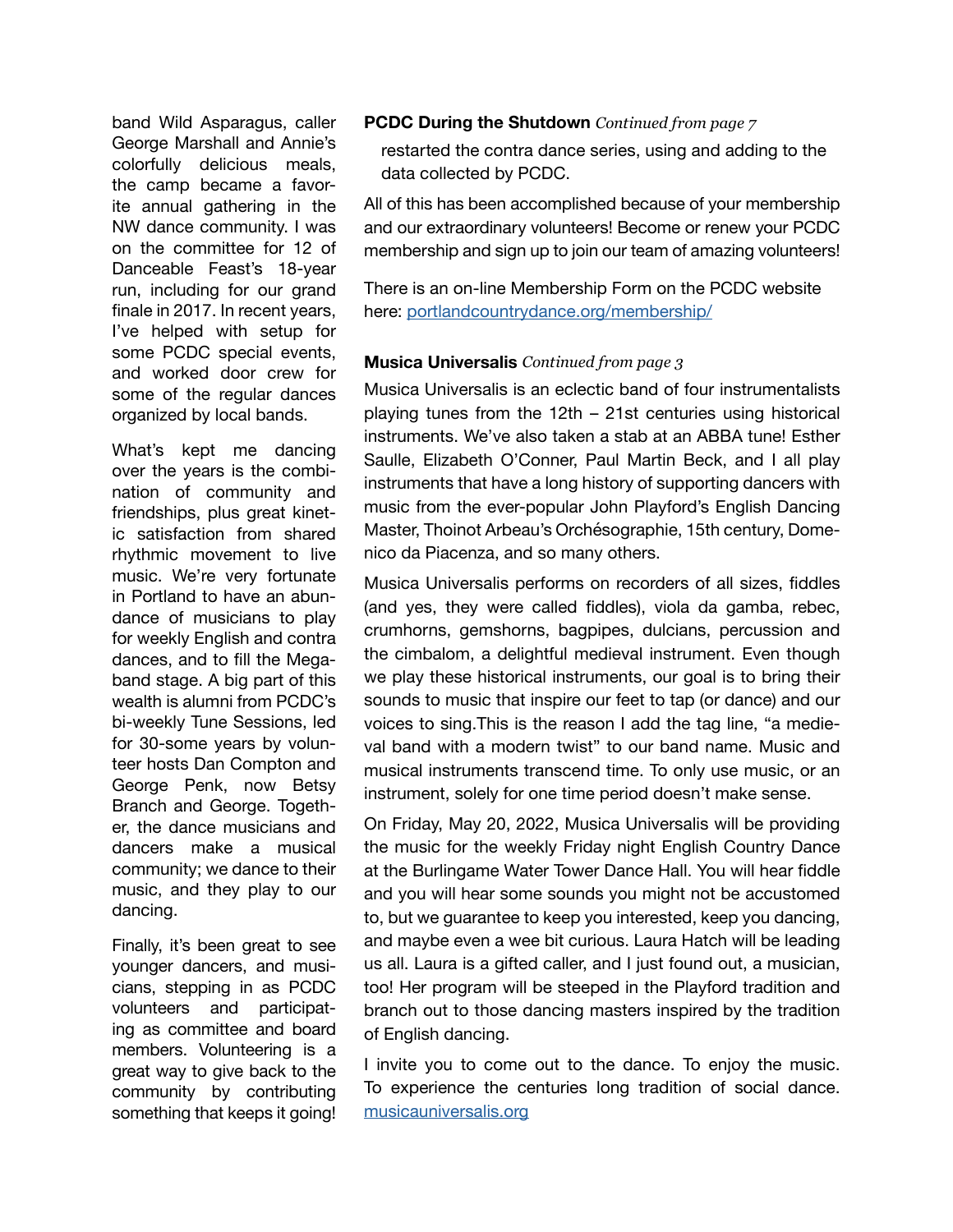George Marshall and Annie's colorfully delicious meals, the camp became a favorite annual gathering in the NW dance community. I was on the committee for 12 of Danceable Feast's 18-year run, including for our grand finale in 2017. In recent years, I've helped with setup for some PCDC special events, and worked door crew for some of the regular dances organized by local bands.

What's kept me dancing over the years is the combination of community and friendships, plus great kinetic satisfaction from shared rhythmic movement to live music. We're very fortunate in Portland to have an abundance of musicians to play for weekly English and contra dances, and to fill the Megaband stage. A big part of this wealth is alumni from PCDC's bi-weekly Tune Sessions, led for 30-some years by volunteer hosts Dan Compton and George Penk, now Betsy Branch and George. Together, the dance musicians and dancers make a musical community; we dance to their music, and they play to our dancing.

Finally, it's been great to see younger dancers, and musicians, stepping in as PCDC volunteers and participating as committee and board members. Volunteering is a great way to give back to the community by contributing something that keeps it going!

#### band Wild Asparagus, caller **PCDC During the Shutdown** *Continued from page 7*

restarted the contra dance series, using and adding to the data collected by PCDC.

All of this has been accomplished because of your membership and our extraordinary volunteers! Become or renew your PCDC membership and sign up to join our team of amazing volunteers!

There is an on-line Membership Form on the PCDC website here: [portlandcountrydance.org/membership/](https://portlandcountrydance.org/membership)

#### **Musica Universalis** *Continued from page 3*

Musica Universalis is an eclectic band of four instrumentalists playing tunes from the 12th – 21st centuries using historical instruments. We've also taken a stab at an ABBA tune! Esther Saulle, Elizabeth O'Conner, Paul Martin Beck, and I all play instruments that have a long history of supporting dancers with music from the ever-popular John Playford's English Dancing Master, Thoinot Arbeau's Orchésographie, 15th century, Domenico da Piacenza, and so many others.

Musica Universalis performs on recorders of all sizes, fiddles (and yes, they were called fiddles), viola da gamba, rebec, crumhorns, gemshorns, bagpipes, dulcians, percussion and the cimbalom, a delightful medieval instrument. Even though we play these historical instruments, our goal is to bring their sounds to music that inspire our feet to tap (or dance) and our voices to sing.This is the reason I add the tag line, "a medieval band with a modern twist" to our band name. Music and musical instruments transcend time. To only use music, or an instrument, solely for one time period doesn't make sense.

On Friday, May 20, 2022, Musica Universalis will be providing the music for the weekly Friday night English Country Dance at the Burlingame Water Tower Dance Hall. You will hear fiddle and you will hear some sounds you might not be accustomed to, but we guarantee to keep you interested, keep you dancing, and maybe even a wee bit curious. Laura Hatch will be leading us all. Laura is a gifted caller, and I just found out, a musician, too! Her program will be steeped in the Playford tradition and branch out to those dancing masters inspired by the tradition of English dancing.

I invite you to come out to the dance. To enjoy the music. To experience the centuries long tradition of social dance. [musicauniversalis.org](https://musicauniversalis.org)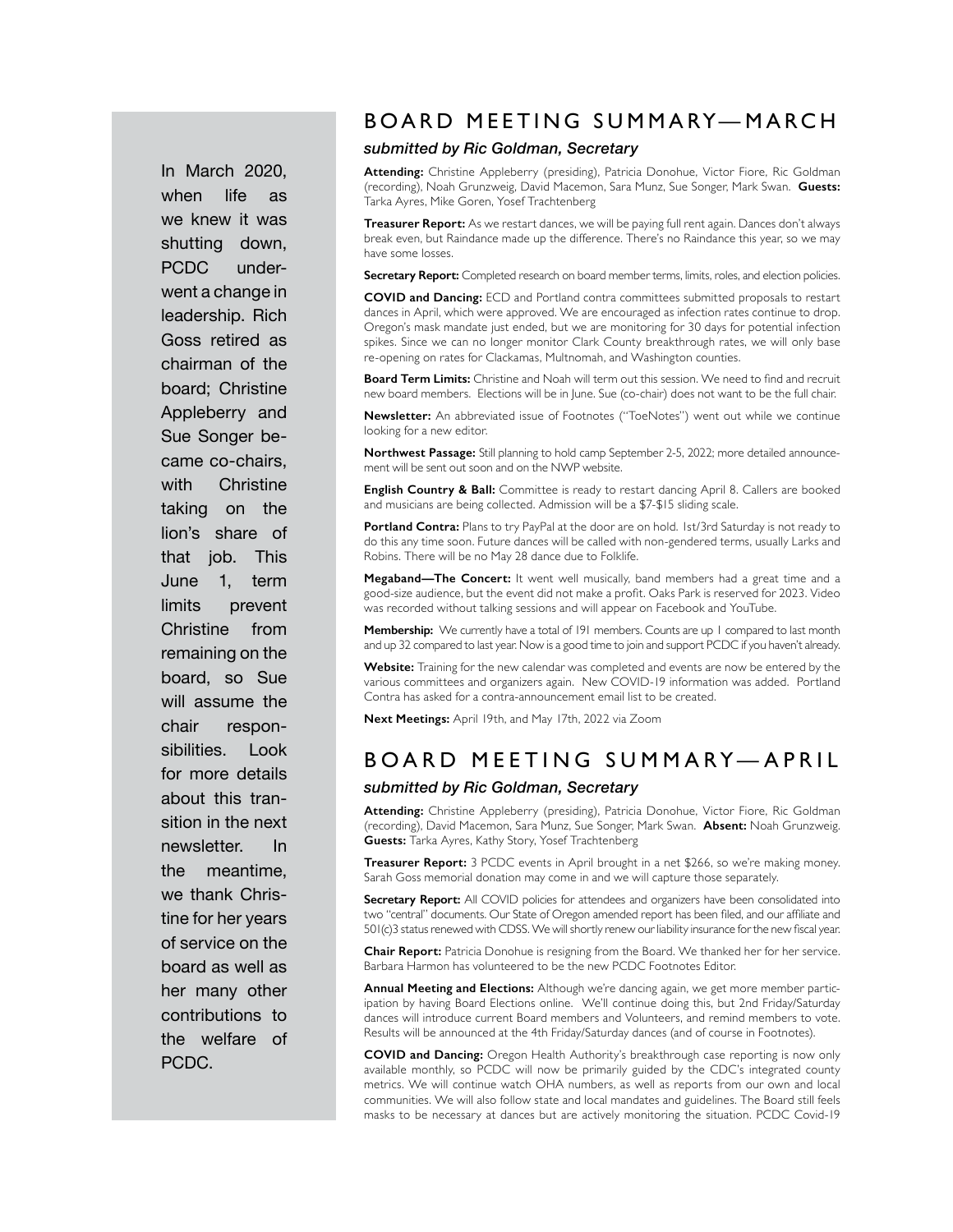In March 2020, when life as we knew it was shutting down, PCDC underwent a change in leadership. Rich Goss retired as chairman of the board; Christine Appleberry and Sue Songer became co-chairs, with Christine taking on the lion's share of that job. This June 1, term limits prevent Christine from remaining on the board, so Sue will assume the chair responsibilities. Look for more details about this transition in the next newsletter. In the meantime, we thank Christine for her years of service on the board as well as her many other contributions to the welfare of PCDC.

## BOARD MEETING SUMMARY—MARCH

#### *submitted by Ric Goldman, Secretary*

**Attending:** Christine Appleberry (presiding), Patricia Donohue, Victor Fiore, Ric Goldman (recording), Noah Grunzweig, David Macemon, Sara Munz, Sue Songer, Mark Swan. **Guests:** Tarka Ayres, Mike Goren, Yosef Trachtenberg

**Treasurer Report:** As we restart dances, we will be paying full rent again. Dances don't always break even, but Raindance made up the difference. There's no Raindance this year, so we may have some losses.

**Secretary Report:** Completed research on board member terms, limits, roles, and election policies.

**COVID and Dancing:** ECD and Portland contra committees submitted proposals to restart dances in April, which were approved. We are encouraged as infection rates continue to drop. Oregon's mask mandate just ended, but we are monitoring for 30 days for potential infection spikes. Since we can no longer monitor Clark County breakthrough rates, we will only base re-opening on rates for Clackamas, Multnomah, and Washington counties.

**Board Term Limits:** Christine and Noah will term out this session. We need to find and recruit new board members. Elections will be in June. Sue (co-chair) does not want to be the full chair.

**Newsletter:** An abbreviated issue of Footnotes ("ToeNotes") went out while we continue looking for a new editor.

**Northwest Passage:** Still planning to hold camp September 2-5, 2022; more detailed announcement will be sent out soon and on the NWP website.

**English Country & Ball:** Committee is ready to restart dancing April 8. Callers are booked and musicians are being collected. Admission will be a \$7-\$15 sliding scale.

Portland Contra: Plans to try PayPal at the door are on hold. Ist/3rd Saturday is not ready to do this any time soon. Future dances will be called with non-gendered terms, usually Larks and Robins. There will be no May 28 dance due to Folklife.

**Megaband—The Concert:** It went well musically, band members had a great time and a good-size audience, but the event did not make a profit. Oaks Park is reserved for 2023. Video was recorded without talking sessions and will appear on Facebook and YouTube.

**Membership:** We currently have a total of 191 members. Counts are up 1 compared to last month and up 32 compared to last year. Now is a good time to join and support PCDC if you haven't already.

**Website:** Training for the new calendar was completed and events are now be entered by the various committees and organizers again. New COVID-19 information was added. Portland Contra has asked for a contra-announcement email list to be created.

**Next Meetings:** April 19th, and May 17th, 2022 via Zoom

### BOARD MEETING SUMMARY—APRIL

#### *submitted by Ric Goldman, Secretary*

**Attending:** Christine Appleberry (presiding), Patricia Donohue, Victor Fiore, Ric Goldman (recording), David Macemon, Sara Munz, Sue Songer, Mark Swan. **Absent:** Noah Grunzweig. **Guests:** Tarka Ayres, Kathy Story, Yosef Trachtenberg

**Treasurer Report:** 3 PCDC events in April brought in a net \$266, so we're making money. Sarah Goss memorial donation may come in and we will capture those separately.

**Secretary Report:** All COVID policies for attendees and organizers have been consolidated into two "central" documents. Our State of Oregon amended report has been filed, and our affiliate and 501(c)3 status renewed with CDSS. We will shortly renew our liability insurance for the new fiscal year.

**Chair Report:** Patricia Donohue is resigning from the Board. We thanked her for her service. Barbara Harmon has volunteered to be the new PCDC Footnotes Editor.

**Annual Meeting and Elections:** Although we're dancing again, we get more member participation by having Board Elections online. We'll continue doing this, but 2nd Friday/Saturday dances will introduce current Board members and Volunteers, and remind members to vote. Results will be announced at the 4th Friday/Saturday dances (and of course in Footnotes).

**COVID and Dancing:** Oregon Health Authority's breakthrough case reporting is now only available monthly, so PCDC will now be primarily guided by the CDC's integrated county metrics. We will continue watch OHA numbers, as well as reports from our own and local communities. We will also follow state and local mandates and guidelines. The Board still feels masks to be necessary at dances but are actively monitoring the situation. PCDC Covid-19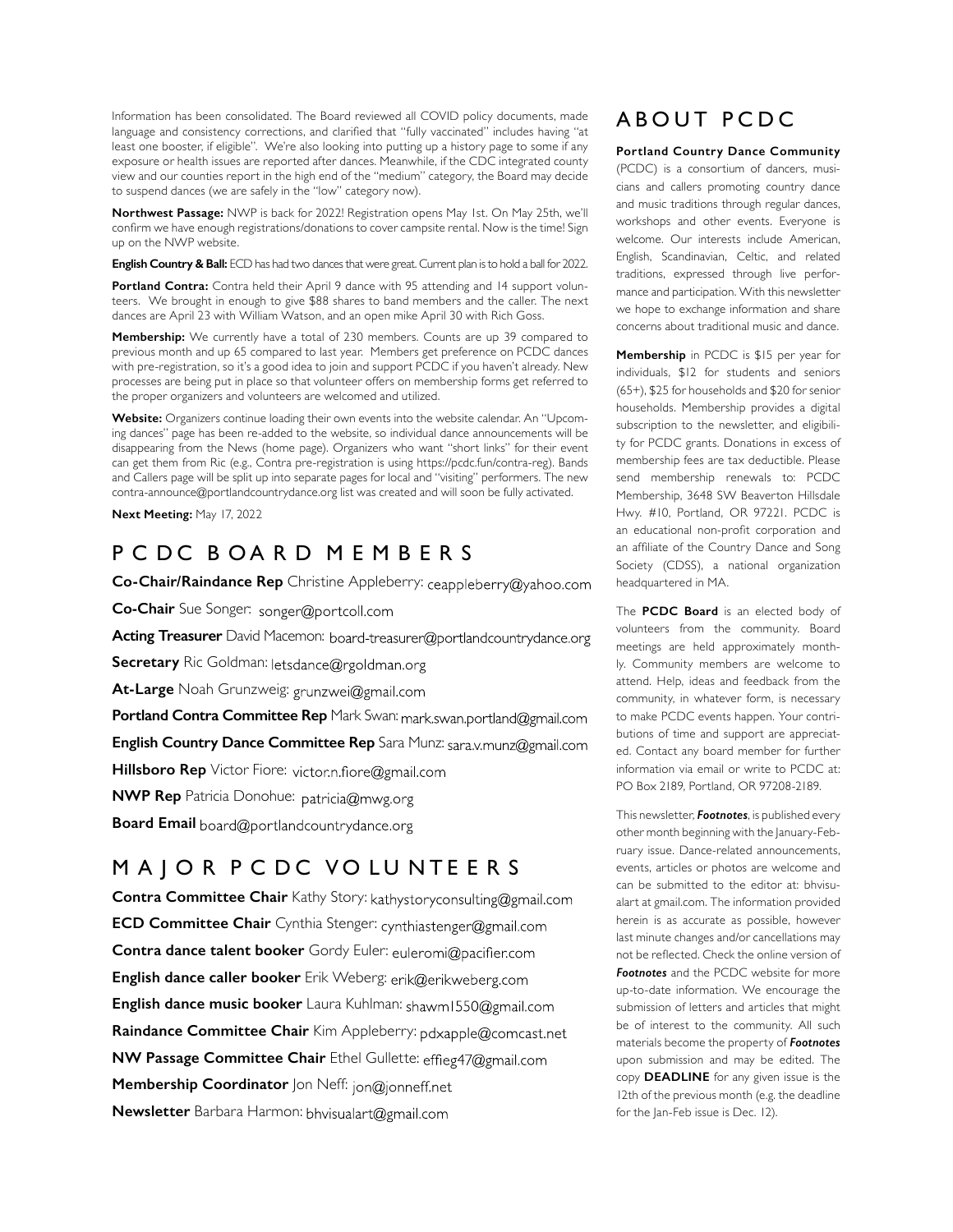Information has been consolidated. The Board reviewed all COVID policy documents, made language and consistency corrections, and clarified that "fully vaccinated" includes having "at least one booster, if eligible". We're also looking into putting up a history page to some if any exposure or health issues are reported after dances. Meanwhile, if the CDC integrated county view and our counties report in the high end of the "medium" category, the Board may decide to suspend dances (we are safely in the "low" category now).

**Northwest Passage:** NWP is back for 2022! Registration opens May 1st. On May 25th, we'll confirm we have enough registrations/donations to cover campsite rental. Now is the time! Sign up on the NWP website.

**English Country & Ball:** ECD has had two dances that were great. Current plan is to hold a ball for 2022.

**Portland Contra:** Contra held their April 9 dance with 95 attending and 14 support volunteers. We brought in enough to give \$88 shares to band members and the caller. The next dances are April 23 with William Watson, and an open mike April 30 with Rich Goss.

**Membership:** We currently have a total of 230 members. Counts are up 39 compared to previous month and up 65 compared to last year. Members get preference on PCDC dances with pre-registration, so it's a good idea to join and support PCDC if you haven't already. New processes are being put in place so that volunteer offers on membership forms get referred to the proper organizers and volunteers are welcomed and utilized.

**Website:** Organizers continue loading their own events into the website calendar. An "Upcoming dances" page has been re-added to the website, so individual dance announcements will be disappearing from the News (home page). Organizers who want "short links" for their event can get them from Ric (e.g., Contra pre-registration is using https://pcdc.fun/contra-reg). Bands and Callers page will be split up into separate pages for local and "visiting" performers. The new contra-announce@portlandcountrydance.org list was created and will soon be fully activated.

**Next Meeting:** May 17, 2022

### P C D C B O A R D M E M B E R S

Co-Chair/Raindance Rep Christine Appleberry: ceappleberry@yahoo.com

**Co-Chair** Sue Songer: songer@portcoll.com

Acting Treasurer David Macemon: board-treasurer@portlandcountrydance.org

**Secretary** Ric Goldman: letsdance@rgoldman.org

**At-Large** Noah Grunzweig: grunzwei@gmail.com

Portland Contra Committee Rep Mark Swan: mark.swan.portland@gmail.com

**English Country Dance Committee Rep** Sara Munz:

**Hillsboro Rep** Victor Fiore: victor.n.fiore@gmail.com

**NWP Rep** Patricia Donohue: patricia@mwg.org

**Board Email** board@portlandcountrydance.org

### M A J O R P C D C VO LU N T E E R S

**Contra Committee Chair** Kathy Story: kathystoryconsulting@gmail.com **ECD Committee Chair** Cynthia Stenger: cynthiastenger@gmail.com **Contra dance talent booker** Gordy Euler: euleromi@pacifier.com **English dance caller booker** Erik Weberg: **English dance music booker** Laura Kuhlman: Raindance Committee Chair Kim Appleberry: pdxapple@comcast.net **NW Passage Committee Chair** Ethel Gullette: effieg47@gmail.com **Membership Coordinator** Jon Neff: jon@jonneff.net **Newsletter** Barbara Harmon:

## ABOUT PCDC

**Portland Country Dance Community**

(PCDC) is a consortium of dancers, musicians and callers promoting country dance and music traditions through regular dances, workshops and other events. Everyone is welcome. Our interests include American, English, Scandinavian, Celtic, and related traditions, expressed through live performance and participation. With this newsletter we hope to exchange information and share concerns about traditional music and dance.

**Membership** in PCDC is \$15 per year for individuals, \$12 for students and seniors (65+), \$25 for households and \$20 for senior households. Membership provides a digital subscription to the newsletter, and eligibility for PCDC grants. Donations in excess of membership fees are tax deductible. Please send membership renewals to: PCDC Membership, 3648 SW Beaverton Hillsdale Hwy. #10, Portland, OR 97221. PCDC is an educational non-profit corporation and an affiliate of the Country Dance and Song Society (CDSS), a national organization headquartered in MA.

The **PCDC Board** is an elected body of volunteers from the community. Board meetings are held approximately monthly. Community members are welcome to attend. Help, ideas and feedback from the community, in whatever form, is necessary to make PCDC events happen. Your contributions of time and support are appreciated. Contact any board member for further information via email or write to PCDC at: PO Box 2189, Portland, OR 97208-2189.

This newsletter, *Footnotes*, is published every other month beginning with the January-February issue. Dance-related announcements, events, articles or photos are welcome and can be submitted to the editor at: bhvisualart at gmail.com. The information provided herein is as accurate as possible, however last minute changes and/or cancellations may not be reflected. Check the online version of *Footnotes* and the PCDC website for more up-to-date information. We encourage the submission of letters and articles that might be of interest to the community. All such materials become the property of *Footnotes*  upon submission and may be edited. The copy **DEADLINE** for any given issue is the 12th of the previous month (e.g. the deadline for the Jan-Feb issue is Dec. 12).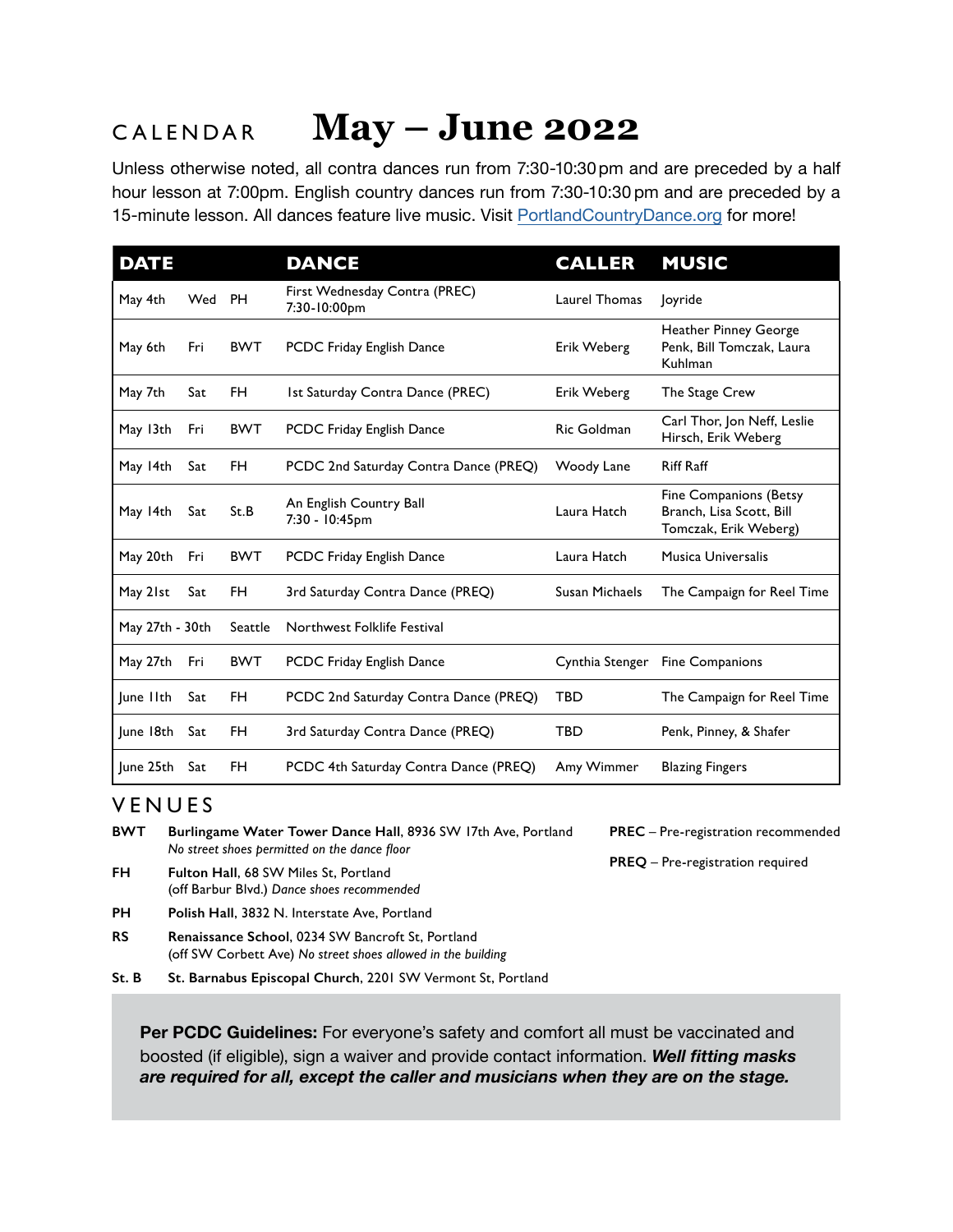#### CALENDAR **May – June 2022**

Unless otherwise noted, all contra dances run from 7:30-10:30 pm and are preceded by a half hour lesson at 7:00pm. English country dances run from 7:30-10:30 pm and are preceded by a 15-minute lesson. All dances feature live music. Visit [PortlandCountryDance.org](https://portlandcountrydance.org) for more!

| <b>DATE</b>     |     |            | <b>DANCE</b>                                  | <b>CALLER</b>   | <b>MUSIC</b>                                                                |
|-----------------|-----|------------|-----------------------------------------------|-----------------|-----------------------------------------------------------------------------|
| May 4th         | Wed | <b>PH</b>  | First Wednesday Contra (PREC)<br>7:30-10:00pm | Laurel Thomas   | <b>loyride</b>                                                              |
| May 6th         | Fri | <b>BWT</b> | PCDC Friday English Dance                     | Erik Weberg     | <b>Heather Pinney George</b><br>Penk, Bill Tomczak, Laura<br>Kuhlman        |
| May 7th         | Sat | FH.        | Ist Saturday Contra Dance (PREC)              | Erik Weberg     | The Stage Crew                                                              |
| May 13th        | Fri | <b>BWT</b> | PCDC Friday English Dance                     | Ric Goldman     | Carl Thor, Jon Neff, Leslie<br>Hirsch, Erik Weberg                          |
| May 14th        | Sat | FH.        | PCDC 2nd Saturday Contra Dance (PREQ)         | Woody Lane      | <b>Riff Raff</b>                                                            |
| May 14th        | Sat | St.B       | An English Country Ball<br>7:30 - 10:45pm     | Laura Hatch     | Fine Companions (Betsy<br>Branch, Lisa Scott, Bill<br>Tomczak, Erik Weberg) |
| May 20th        | Fri | <b>BWT</b> | PCDC Friday English Dance                     | Laura Hatch     | <b>Musica Universalis</b>                                                   |
| May 21st        | Sat | FH.        | 3rd Saturday Contra Dance (PREQ)              | Susan Michaels  | The Campaign for Reel Time                                                  |
| May 27th - 30th |     | Seattle    | Northwest Folklife Festival                   |                 |                                                                             |
| May 27th        | Fri | <b>BWT</b> | <b>PCDC Friday English Dance</b>              | Cynthia Stenger | Fine Companions                                                             |
| June IIth       | Sat | FH         | PCDC 2nd Saturday Contra Dance (PREQ)         | <b>TBD</b>      | The Campaign for Reel Time                                                  |
| June 18th       | Sat | FH         | 3rd Saturday Contra Dance (PREQ)              | <b>TBD</b>      | Penk, Pinney, & Shafer                                                      |
| June 25th       | Sat | FH         | PCDC 4th Saturday Contra Dance (PREQ)         | Amy Wimmer      | <b>Blazing Fingers</b>                                                      |

## VENUES

- **BWT Burlingame Water Tower Dance Hall**, 8936 SW 17th Ave, Portland *No street shoes permitted on the dance floor*
- **FH Fulton Hall**, 68 SW Miles St, Portland (off Barbur Blvd.) *Dance shoes recommended*
- **PH Polish Hall**, 3832 N. Interstate Ave, Portland
- **RS Renaissance School**, 0234 SW Bancroft St, Portland (off SW Corbett Ave) *No street shoes allowed in the building*
- **St. B St. Barnabus Episcopal Church**, 2201 SW Vermont St, Portland

**PREC** – Pre-registration recommended

**PREQ** – Pre-registration required

**Per PCDC Guidelines:** For everyone's safety and comfort all must be vaccinated and boosted (if eligible), sign a waiver and provide contact information. *Well fitting masks are required for all, except the caller and musicians when they are on the stage.*